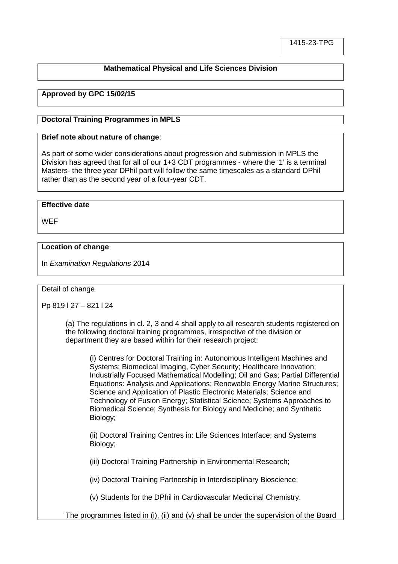# **Mathematical Physical and Life Sciences Division**

# **Approved by GPC 15/02/15**

#### **Doctoral Training Programmes in MPLS**

#### **Brief note about nature of change**:

As part of some wider considerations about progression and submission in MPLS the Division has agreed that for all of our 1+3 CDT programmes - where the '1' is a terminal Masters- the three year DPhil part will follow the same timescales as a standard DPhil rather than as the second year of a four-year CDT.

### **Effective date**

**WEF** 

### **Location of change**

In *Examination Regulations* 2014

#### Detail of change

Pp 819 l 27 – 821 l 24

(a) The regulations in cl. 2, 3 and 4 shall apply to all research students registered on the following doctoral training programmes, irrespective of the division or department they are based within for their research project:

(i) Centres for Doctoral Training in: Autonomous Intelligent Machines and Systems; Biomedical Imaging, Cyber Security; Healthcare Innovation; Industrially Focused Mathematical Modelling; Oil and Gas; Partial Differential Equations: Analysis and Applications; Renewable Energy Marine Structures; Science and Application of Plastic Electronic Materials; Science and Technology of Fusion Energy; Statistical Science; Systems Approaches to Biomedical Science; Synthesis for Biology and Medicine; and Synthetic Biology;

(ii) Doctoral Training Centres in: Life Sciences Interface; and Systems Biology;

(iii) Doctoral Training Partnership in Environmental Research;

(iv) Doctoral Training Partnership in Interdisciplinary Bioscience;

(v) Students for the DPhil in Cardiovascular Medicinal Chemistry.

The programmes listed in (i), (ii) and (v) shall be under the supervision of the Board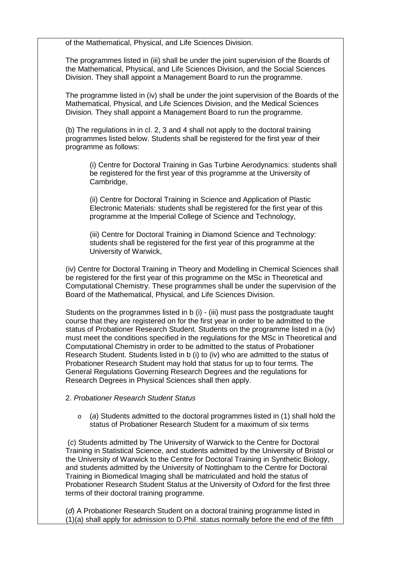of the Mathematical, Physical, and Life Sciences Division.

The programmes listed in (iii) shall be under the joint supervision of the Boards of the Mathematical, Physical, and Life Sciences Division, and the Social Sciences Division. They shall appoint a Management Board to run the programme.

The programme listed in (iv) shall be under the joint supervision of the Boards of the Mathematical, Physical, and Life Sciences Division, and the Medical Sciences Division. They shall appoint a Management Board to run the programme.

(b) The regulations in in cl. 2, 3 and 4 shall not apply to the doctoral training programmes listed below. Students shall be registered for the first year of their programme as follows:

(i) Centre for Doctoral Training in Gas Turbine Aerodynamics: students shall be registered for the first year of this programme at the University of Cambridge,

(ii) Centre for Doctoral Training in Science and Application of Plastic Electronic Materials: students shall be registered for the first year of this programme at the Imperial College of Science and Technology,

(iii) Centre for Doctoral Training in Diamond Science and Technology: students shall be registered for the first year of this programme at the University of Warwick,

(iv) Centre for Doctoral Training in Theory and Modelling in Chemical Sciences shall be registered for the first year of this programme on the MSc in Theoretical and Computational Chemistry. These programmes shall be under the supervision of the Board of the Mathematical, Physical, and Life Sciences Division.

Students on the programmes listed in b (i) - (iii) must pass the postgraduate taught course that they are registered on for the first year in order to be admitted to the status of Probationer Research Student. Students on the programme listed in a (iv) must meet the conditions specified in the regulations for the MSc in Theoretical and Computational Chemistry in order to be admitted to the status of Probationer Research Student. Students listed in b (i) to (iv) who are admitted to the status of Probationer Research Student may hold that status for up to four terms. The General Regulations Governing Research Degrees and the regulations for Research Degrees in Physical Sciences shall then apply.

### 2. *Probationer Research Student Status*

o (*a*) Students admitted to the doctoral programmes listed in (1) shall hold the status of Probationer Research Student for a maximum of six terms

(*c*) Students admitted by The University of Warwick to the Centre for Doctoral Training in Statistical Science, and students admitted by the University of Bristol or the University of Warwick to the Centre for Doctoral Training in Synthetic Biology, and students admitted by the University of Nottingham to the Centre for Doctoral Training in Biomedical Imaging shall be matriculated and hold the status of Probationer Research Student Status at the University of Oxford for the first three terms of their doctoral training programme.

(*d*) A Probationer Research Student on a doctoral training programme listed in (1)(a) shall apply for admission to D.Phil. status normally before the end of the fifth